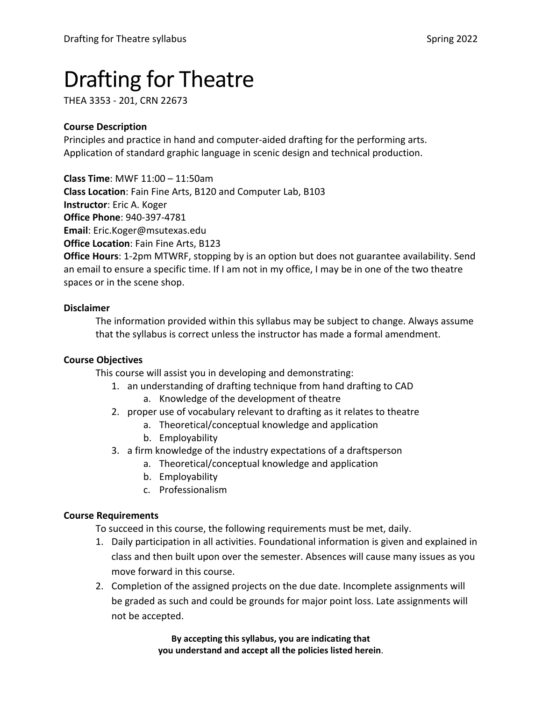# Drafting for Theatre

THEA 3353 - 201, CRN 22673

# **Course Description**

Principles and practice in hand and computer-aided drafting for the performing arts. Application of standard graphic language in scenic design and technical production.

**Class Time**: MWF 11:00 – 11:50am **Class Location**: Fain Fine Arts, B120 and Computer Lab, B103 **Instructor**: Eric A. Koger **Office Phone**: 940-397-4781 **Email**: Eric.Koger@msutexas.edu **Office Location**: Fain Fine Arts, B123 **Office Hours**: 1-2pm MTWRF, stopping by is an option but does not guarantee availability. Send an email to ensure a specific time. If I am not in my office, I may be in one of the two theatre

spaces or in the scene shop.

## **Disclaimer**

The information provided within this syllabus may be subject to change. Always assume that the syllabus is correct unless the instructor has made a formal amendment.

# **Course Objectives**

This course will assist you in developing and demonstrating:

- 1. an understanding of drafting technique from hand drafting to CAD
	- a. Knowledge of the development of theatre
- 2. proper use of vocabulary relevant to drafting as it relates to theatre
	- a. Theoretical/conceptual knowledge and application
	- b. Employability
- 3. a firm knowledge of the industry expectations of a draftsperson
	- a. Theoretical/conceptual knowledge and application
	- b. Employability
	- c. Professionalism

# **Course Requirements**

To succeed in this course, the following requirements must be met, daily.

- 1. Daily participation in all activities. Foundational information is given and explained in class and then built upon over the semester. Absences will cause many issues as you move forward in this course.
- 2. Completion of the assigned projects on the due date. Incomplete assignments will be graded as such and could be grounds for major point loss. Late assignments will not be accepted.

**By accepting this syllabus, you are indicating that you understand and accept all the policies listed herein**.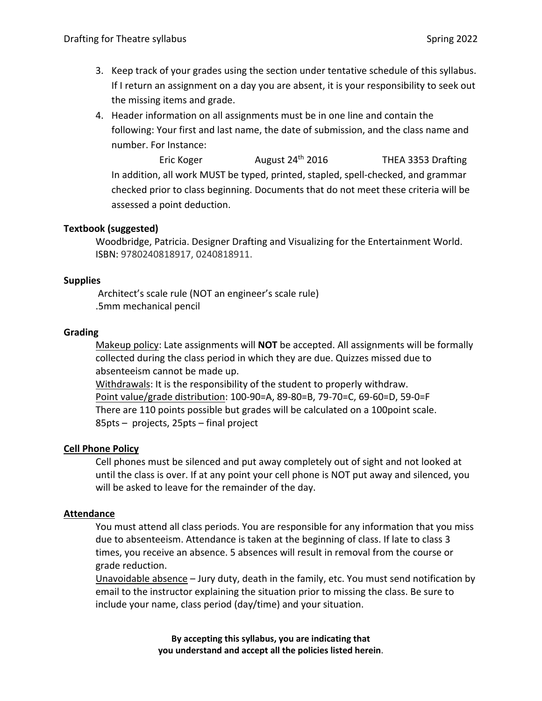- 3. Keep track of your grades using the section under tentative schedule of this syllabus. If I return an assignment on a day you are absent, it is your responsibility to seek out the missing items and grade.
- 4. Header information on all assignments must be in one line and contain the following: Your first and last name, the date of submission, and the class name and number. For Instance:

Eric Koger **August 24<sup>th</sup> 2016** THEA 3353 Drafting In addition, all work MUST be typed, printed, stapled, spell-checked, and grammar checked prior to class beginning. Documents that do not meet these criteria will be assessed a point deduction.

## **Textbook (suggested)**

Woodbridge, Patricia. Designer Drafting and Visualizing for the Entertainment World. ISBN: 9780240818917, 0240818911.

## **Supplies**

Architect's scale rule (NOT an engineer's scale rule) .5mm mechanical pencil

## **Grading**

Makeup policy: Late assignments will **NOT** be accepted. All assignments will be formally collected during the class period in which they are due. Quizzes missed due to absenteeism cannot be made up.

Withdrawals: It is the responsibility of the student to properly withdraw. Point value/grade distribution: 100-90=A, 89-80=B, 79-70=C, 69-60=D, 59-0=F There are 110 points possible but grades will be calculated on a 100point scale. 85pts – projects, 25pts – final project

## **Cell Phone Policy**

Cell phones must be silenced and put away completely out of sight and not looked at until the class is over. If at any point your cell phone is NOT put away and silenced, you will be asked to leave for the remainder of the day.

## **Attendance**

You must attend all class periods. You are responsible for any information that you miss due to absenteeism. Attendance is taken at the beginning of class. If late to class 3 times, you receive an absence. 5 absences will result in removal from the course or grade reduction.

Unavoidable absence – Jury duty, death in the family, etc. You must send notification by email to the instructor explaining the situation prior to missing the class. Be sure to include your name, class period (day/time) and your situation.

> **By accepting this syllabus, you are indicating that you understand and accept all the policies listed herein**.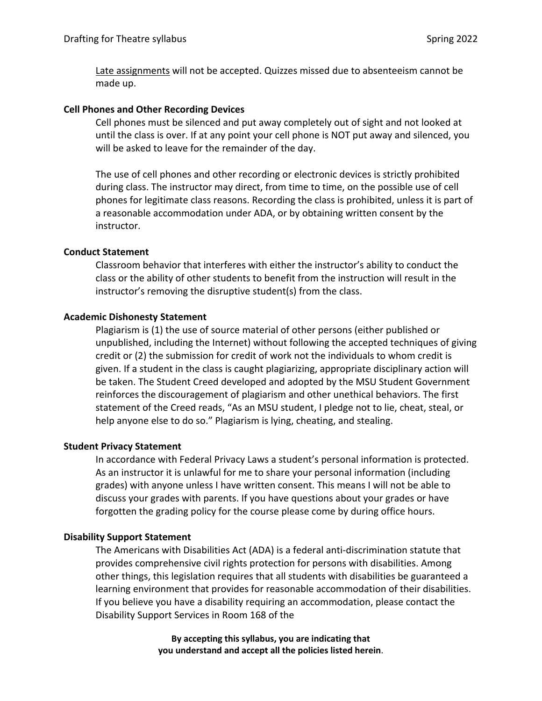Late assignments will not be accepted. Quizzes missed due to absenteeism cannot be made up.

#### **Cell Phones and Other Recording Devices**

Cell phones must be silenced and put away completely out of sight and not looked at until the class is over. If at any point your cell phone is NOT put away and silenced, you will be asked to leave for the remainder of the day.

The use of cell phones and other recording or electronic devices is strictly prohibited during class. The instructor may direct, from time to time, on the possible use of cell phones for legitimate class reasons. Recording the class is prohibited, unless it is part of a reasonable accommodation under ADA, or by obtaining written consent by the instructor.

#### **Conduct Statement**

Classroom behavior that interferes with either the instructor's ability to conduct the class or the ability of other students to benefit from the instruction will result in the instructor's removing the disruptive student(s) from the class.

#### **Academic Dishonesty Statement**

Plagiarism is (1) the use of source material of other persons (either published or unpublished, including the Internet) without following the accepted techniques of giving credit or (2) the submission for credit of work not the individuals to whom credit is given. If a student in the class is caught plagiarizing, appropriate disciplinary action will be taken. The Student Creed developed and adopted by the MSU Student Government reinforces the discouragement of plagiarism and other unethical behaviors. The first statement of the Creed reads, "As an MSU student, I pledge not to lie, cheat, steal, or help anyone else to do so." Plagiarism is lying, cheating, and stealing.

#### **Student Privacy Statement**

In accordance with Federal Privacy Laws a student's personal information is protected. As an instructor it is unlawful for me to share your personal information (including grades) with anyone unless I have written consent. This means I will not be able to discuss your grades with parents. If you have questions about your grades or have forgotten the grading policy for the course please come by during office hours.

## **Disability Support Statement**

The Americans with Disabilities Act (ADA) is a federal anti-discrimination statute that provides comprehensive civil rights protection for persons with disabilities. Among other things, this legislation requires that all students with disabilities be guaranteed a learning environment that provides for reasonable accommodation of their disabilities. If you believe you have a disability requiring an accommodation, please contact the Disability Support Services in Room 168 of the

> **By accepting this syllabus, you are indicating that you understand and accept all the policies listed herein**.